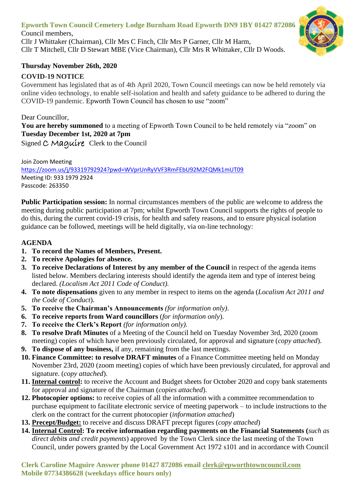# **Epworth Town Council Cemetery Lodge Burnham Road Epworth DN9 1BY 01427 872086**

Council members, Cllr J Whittaker (Chairman), Cllr Mrs C Finch, Cllr Mrs P Garner, Cllr M Harm, Cllr T Mitchell, Cllr D Stewart MBE (Vice Chairman), Cllr Mrs R Whittaker, Cllr D Woods.



#### **Thursday November 26th, 2020**

#### **COVID-19 NOTICE**

Government has legislated that as of 4th April 2020, Town Council meetings can now be held remotely via online video technology, to enable self-isolation and health and safety guidance to be adhered to during the COVID-19 pandemic. Epworth Town Council has chosen to use "zoom"

Dear Councillor, **You are hereby summoned** to a meeting of Epworth Town Council to be held remotely via "zoom" on **Tuesday December 1st, 2020 at 7pm**

Signed C Maquire Clerk to the Council

Join Zoom Meeting <https://zoom.us/j/93319792924?pwd=WVprUnRyVVF3RmFEbU92M2FQMk1mUT09> Meeting ID: 933 1979 2924 Passcode: 263350

**Public Participation session:** In normal circumstances members of the public are welcome to address the meeting during public participation at 7pm; whilst Epworth Town Council supports the rights of people to do this, during the current covid-19 crisis, for health and safety reasons, and to ensure physical isolation guidance can be followed, meetings will be held digitally, via on-line technology:

### **AGENDA**

- **1. To record the Names of Members, Present.**
- **2. To receive Apologies for absence.**
- **3. To receive Declarations of Interest by any member of the Council** in respect of the agenda items listed below. Members declaring interests should identify the agenda item and type of interest being declared. *(Localism Act 2011 Code of Conduct).*
- **4. To note dispensations** given to any member in respect to items on the agenda (*Localism Act 2011 and the Code of Conduct*).
- **5. To receive the Chairman's Announcements** *(for information only)*.
- **6. To receive reports from Ward councillors** (*for information only*).
- **7. To receive the Clerk's Report** *(for information only).*
- **8. To resolve Draft Minutes** of a Meeting of the Council held on Tuesday November 3rd, 2020 (zoom meeting) copies of which have been previously circulated, for approval and signature (*copy attached*).
- **9. To dispose of any business,** if any, remaining from the last meetings.
- **10. Finance Committee: to resolve DRAFT minutes** of a Finance Committee meeting held on Monday November 23rd, 2020 (zoom meeting) copies of which have been previously circulated, for approval and signature. (*copy attached*).
- **11. Internal control:** to receive the Account and Budget sheets for October 2020 and copy bank statements for approval and signature of the Chairman (*copies attached*).
- **12. Photocopier options:** to receive copies of all the information with a committee recommendation to purchase equipment to facilitate electronic service of meeting paperwork – to include instructions to the clerk on the contract for the current photocopier (*information attached*)
- **13. Precept/Budget:** to receive and discuss DRAFT precept figures (*copy attached*)
- **14. Internal Control: To receive information regarding payments on the Financial Statements (***such as direct debits and credit payments*) approved by the Town Clerk since the last meeting of the Town Council, under powers granted by the Local Government Act 1972 s101 and in accordance with Council

**Clerk Caroline Maguire Answer phone 01427 872086 email [clerk@epworthtowncouncil.com](mailto:clerk@epworthtowncouncil.com) Mobile 07734386628 (weekdays office hours only)**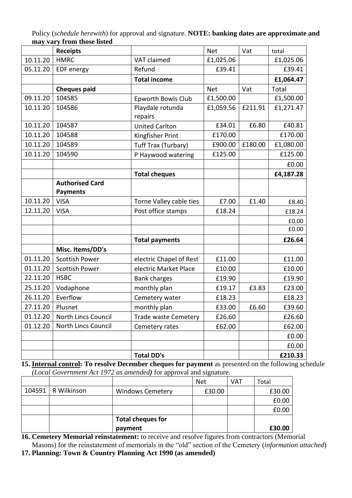|          | <b>Receipts</b>        |                             | <b>Net</b> | Vat     | total     |
|----------|------------------------|-----------------------------|------------|---------|-----------|
| 10.11.20 | <b>HMRC</b>            | VAT claimed                 | £1,025.06  |         | £1,025.06 |
| 05.11.20 | <b>EDF</b> energy      | Refund                      | £39.41     |         | £39.41    |
|          |                        | <b>Total income</b>         |            |         | £1,064.47 |
|          | <b>Cheques paid</b>    |                             | <b>Net</b> | Vat     | Total     |
| 09.11.20 | 104585                 | <b>Epworth Bowls Club</b>   | £1,500.00  |         | £1,500.00 |
| 10.11.20 | 104586                 | Playdale rotunda            | £1,059.56  | £211.91 | £1,271.47 |
|          |                        | repairs                     |            |         |           |
| 10.11.20 | 104587                 | <b>United Carlton</b>       | £34.01     | £6.80   | £40.81    |
| 10.11.20 | 104588                 | Kingfisher Print            | £170.00    |         | £170.00   |
| 10.11.20 | 104589                 | Tuff Trax (Turbary)         | £900.00    | £180.00 | £1,080.00 |
| 10.11.20 | 104590                 | P Haywood watering          | £125.00    |         | £125.00   |
|          |                        |                             |            |         | £0.00     |
|          |                        | <b>Total cheques</b>        |            |         | £4,187.28 |
|          | <b>Authorised Card</b> |                             |            |         |           |
|          | <b>Payments</b>        |                             |            |         |           |
| 10.11.20 | <b>VISA</b>            | Torne Valley cable ties     | £7.00      | £1.40   | £8.40     |
| 12.11.20 | <b>VISA</b>            | Post office stamps          | £18.24     |         | £18.24    |
|          |                        |                             |            |         | £0.00     |
|          |                        |                             |            |         | £0.00     |
|          |                        | <b>Total payments</b>       |            |         | £26.64    |
|          | Misc. Items/DD's       |                             |            |         |           |
| 01.11.20 | <b>Scottish Power</b>  | electric Chapel of Rest     | £11.00     |         | £11.00    |
| 01.11.20 | <b>Scottish Power</b>  | electric Market Place       | £10.00     |         | £10.00    |
| 22.11.20 | <b>HSBC</b>            | <b>Bank charges</b>         | £19.90     |         | £19.90    |
| 25.11.20 | Vodaphone              | monthly plan                | £19.17     | £3.83   | £23.00    |
| 26.11.20 | Everflow               | Cemetery water              | £18.23     |         | £18.23    |
| 27.11.20 | Plusnet                | monthly plan                | £33.00     | £6.60   | £39.60    |
| 01.12.20 | North Lincs Council    | <b>Trade waste Cemetery</b> | £26.60     |         | £26.60    |
| 01.12.20 | North Lincs Council    | Cemetery rates              | £62.00     |         | £62.00    |
|          |                        |                             |            |         | £0.00     |
|          |                        |                             |            |         | £0.00     |
|          |                        | <b>Total DD's</b>           |            |         | £210.33   |

Policy (*schedule herewith*) for approval and signature. **NOTE: banking dates are approximate and may vary from those listed**

**15. Internal control: To resolve December cheques for payment** as presented on the following schedule *(Local Government Act 1972 as amended)* for approval and signature.

|                      |                          | <b>Net</b> | <b>VAT</b> | Total  |
|----------------------|--------------------------|------------|------------|--------|
| 104591   R Wilkinson | <b>Windows Cemetery</b>  | £30.00     |            | £30.00 |
|                      |                          |            |            | £0.00  |
|                      |                          |            |            | £0.00  |
|                      | <b>Total cheques for</b> |            |            |        |
|                      | payment                  |            |            | £30.00 |

**16. Cemetery Memorial reinstatement:** to receive and resolve figures from contractors (Memorial Masons) for the reinstatement of memorials in the "old" section of the Cemetery (*information attached*)

**17. Planning: Town & Country Planning Act 1990 (as amended)**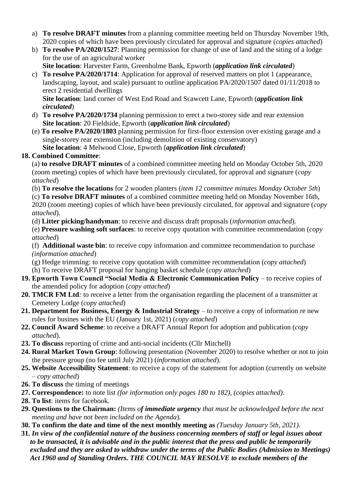- a) **To resolve DRAFT minutes** from a planning committee meeting held on Thursday November 19th, 2020 copies of which have been previously circulated for approval and signature (*copies attached*)
- b) **To resolve PA/2020/1527**: Planning permission for change of use of land and the siting of a lodge for the use of an agricultural worker  **Site location**: Harvester Farm, Greenholme Bank, Epworth (*application link circulated*)
- c) **To resolve PA/2020/1714**: Application for approval of reserved matters on plot 1 (appearance, landscaping, layout, and scale) pursuant to outline application PA/2020/1507 dated 01/11/2018 to erect 2 residential dwellings  **Site location**: land corner of West End Road and Scawcett Lane, Epworth (*application link*

*circulated*) d) **To resolve PA/2020/1734** planning permission to erect a two-storey side and rear extension

**Site location**: 20 Fieldside, Epworth (*application link circulated*) (e) **To resolve PA/2020/1803** planning permission for first-floor extension over existing garage and a single-storey rear extension (including demolition of existing conservatory) **Site location**: 4 Melwood Close, Epworth (*application link circulated*)

## **18. Combined Committee**:

(a) **to resolve DRAFT minutes** of a combined committee meeting held on Monday October 5th, 2020 (zoom meeting) copies of which have been previously circulated, for approval and signature (*copy attached*)

(b) **To resolve the locations** for 2 wooden planters (*item 12 committee minutes Monday October 5th*)

(c) **To resolve DRAFT minutes** of a combined committee meeting held on Monday November 16th, 2020 (zoom meeting) copies of which have been previously circulated, for approval and signature (*copy attached*).

(d) **Litter picking/handyman**: to receive and discuss draft proposals (*information attached*).

(e) **Pressure washing soft surfaces**: to receive copy quotation with committee recommendation (*copy attached*)

(f) **Additional waste bin**: to receive copy information and committee recommendation to purchase *(information attached*)

- (g) Hedge trimming: to receive copy quotation with committee recommendation (*copy attached*) (h) To receive DRAFT proposal for hanging basket schedule (*copy attached*)
- **19. Epworth Town Council "Social Media & Electronic Communication Policy** to receive copies of the amended policy for adoption (*copy attached*)
- **20. TMCR FM Ltd***:* to receive a letter from the organisation regarding the placement of a transmitter at Cemetery Lodge (*copy attached*)
- **21. Department for Business, Energy & Industrial Strategy** to receive a copy of information re new rules for busines with the EU (January 1st, 2021) (*copy attached*)
- **22. Council Award Scheme**: to receive a DRAFT Annual Report for adoption and publication (*copy attached*).
- **23. To discuss** reporting of crime and anti-social incidents (Cllr Mitchell)
- **24. Rural Market Town Group**: following presentation (November 2020) to resolve whether or not to join the pressure group (no fee until July 2021) (*information attached*).
- **25. Website Accessibility Statement**: to receive a copy of the statement for adoption (currently on website – *copy attached*)
- **26. To discuss** the timing of meetings
- **27. Correspondence:** to note list *(for information only pages 180 to 182), (copies attached).*
- **28. To list**: items for facebook.
- **29. Questions to the Chairman:** *(Items of immediate urgency that must be acknowledged before the next meeting and have not been included on the Agenda*)*.*
- **30. To confirm the date and time of the next monthly meeting as** *(Tuesday January 5th, 2021).*
- **31.** *In view of the confidential nature of the business concerning members of staff or legal issues about to be transacted, it is advisable and in the public interest that the press and public be temporarily excluded and they are asked to withdraw under the terms of the Public Bodies (Admission to Meetings) Act 1960 and of Standing Orders. THE COUNCIL MAY RESOLVE to exclude members of the*